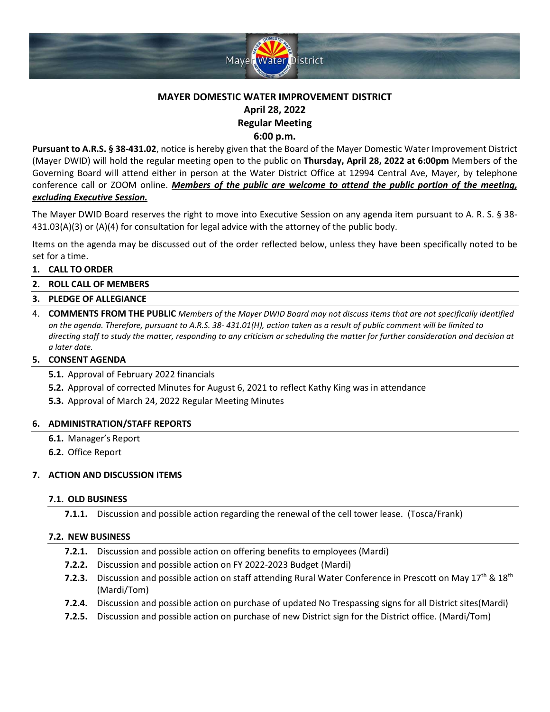

# **MAYER DOMESTIC WATER IMPROVEMENT DISTRICT April 28, 2022 Regular Meeting 6:00 p.m.**

**Pursuant to A.R.S. § 38‐431.02**, notice is hereby given that the Board of the Mayer Domestic Water Improvement District (Mayer DWID) will hold the regular meeting open to the public on **Thursday, April 28, 2022 at 6:00pm** Members of the Governing Board will attend either in person at the Water District Office at 12994 Central Ave, Mayer, by telephone conference call or ZOOM online. *Members of the public are welcome to attend the public portion of the meeting, excluding Executive Session.*

The Mayer DWID Board reserves the right to move into Executive Session on any agenda item pursuant to A. R. S. § 38- 431.03(A)(3) or (A)(4) for consultation for legal advice with the attorney of the public body.

Items on the agenda may be discussed out of the order reflected below, unless they have been specifically noted to be set for a time.

## **1. CALL TO ORDER**

# **2. ROLL CALL OF MEMBERS**

### **3. PLEDGE OF ALLEGIANCE**

4. **COMMENTS FROM THE PUBLIC** *Members of the Mayer DWID Board may not discuss items that are not specifically identified on the agenda. Therefore, pursuant to A.R.S. 38- 431.01(H), action taken as a result of public comment will be limited to directing staff to study the matter, responding to any criticism or scheduling the matter for further consideration and decision at a later date.*

### **5. CONSENT AGENDA**

**5.1.** Approval of February 2022 financials

- **5.2.** Approval of corrected Minutes for August 6, 2021 to reflect Kathy King was in attendance
- **5.3.** Approval of March 24, 2022 Regular Meeting Minutes

### **6. ADMINISTRATION/STAFF REPORTS**

- **6.1.** Manager's Report
- **6.2.** Office Report

### **7. ACTION AND DISCUSSION ITEMS**

### **7.1. OLD BUSINESS**

**7.1.1.** Discussion and possible action regarding the renewal of the cell tower lease. (Tosca/Frank)

### **7.2. NEW BUSINESS**

- **7.2.1.** Discussion and possible action on offering benefits to employees (Mardi)
- **7.2.2.** Discussion and possible action on FY 2022-2023 Budget (Mardi)
- **7.2.3.** Discussion and possible action on staff attending Rural Water Conference in Prescott on May 17<sup>th</sup> & 18<sup>th</sup> (Mardi/Tom)
- **7.2.4.** Discussion and possible action on purchase of updated No Trespassing signs for all District sites(Mardi)
- **7.2.5.** Discussion and possible action on purchase of new District sign for the District office. (Mardi/Tom)